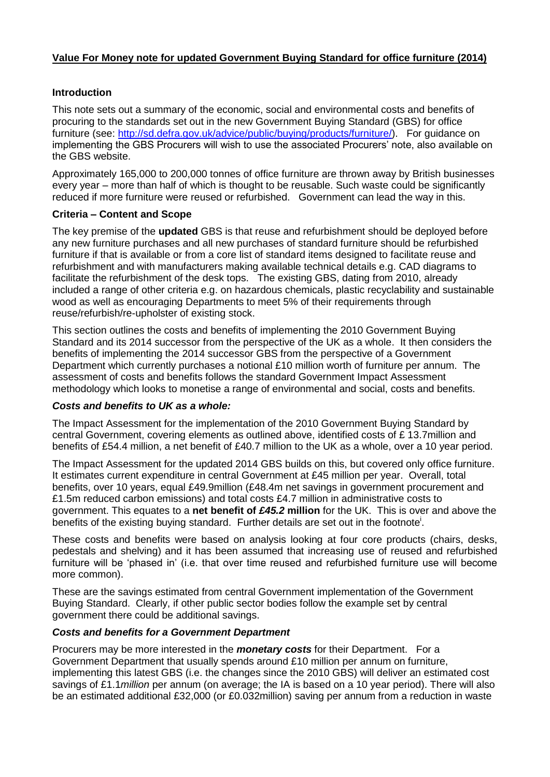# **Value For Money note for updated Government Buying Standard for office furniture (2014)**

## **Introduction**

This note sets out a summary of the economic, social and environmental costs and benefits of procuring to the standards set out in the new Government Buying Standard (GBS) for office furniture (see: [http://sd.defra.gov.uk/advice/public/buying/products/furniture/\)](http://sd.defra.gov.uk/advice/public/buying/products/furniture/). For guidance on implementing the GBS Procurers will wish to use the associated Procurers' note, also available on the GBS website.

Approximately 165,000 to 200,000 tonnes of office furniture are thrown away by British businesses every year – more than half of which is thought to be reusable. Such waste could be significantly reduced if more furniture were reused or refurbished. Government can lead the way in this.

## **Criteria – Content and Scope**

The key premise of the **updated** GBS is that reuse and refurbishment should be deployed before any new furniture purchases and all new purchases of standard furniture should be refurbished furniture if that is available or from a core list of standard items designed to facilitate reuse and refurbishment and with manufacturers making available technical details e.g. CAD diagrams to facilitate the refurbishment of the desk tops. The existing GBS, dating from 2010, already included a range of other criteria e.g. on hazardous chemicals, plastic recyclability and sustainable wood as well as encouraging Departments to meet 5% of their requirements through reuse/refurbish/re-upholster of existing stock.

This section outlines the costs and benefits of implementing the 2010 Government Buying Standard and its 2014 successor from the perspective of the UK as a whole. It then considers the benefits of implementing the 2014 successor GBS from the perspective of a Government Department which currently purchases a notional £10 million worth of furniture per annum. The assessment of costs and benefits follows the standard Government Impact Assessment methodology which looks to monetise a range of environmental and social, costs and benefits.

## *Costs and benefits to UK as a whole:*

The Impact Assessment for the implementation of the 2010 Government Buying Standard by central Government, covering elements as outlined above, identified costs of £ 13.7million and benefits of £54.4 million, a net benefit of £40.7 million to the UK as a whole, over a 10 year period.

The Impact Assessment for the updated 2014 GBS builds on this, but covered only office furniture. It estimates current expenditure in central Government at £45 million per year. Overall, total benefits, over 10 years, equal £49.9million (£48.4m net savings in government procurement and £1.5m reduced carbon emissions) and total costs £4.7 million in administrative costs to government. This equates to a **net benefit of** *£45.2* **million** for the UK. This is over and above the benefits of the existing buying standard. Further details are set out in the footnote<sup>i</sup>.

These costs and benefits were based on analysis looking at four core products (chairs, desks, pedestals and shelving) and it has been assumed that increasing use of reused and refurbished furniture will be 'phased in' (i.e. that over time reused and refurbished furniture use will become more common).

These are the savings estimated from central Government implementation of the Government Buying Standard. Clearly, if other public sector bodies follow the example set by central government there could be additional savings.

## *Costs and benefits for a Government Department*

Procurers may be more interested in the *monetary costs* for their Department. For a Government Department that usually spends around £10 million per annum on furniture, implementing this latest GBS (i.e. the changes since the 2010 GBS) will deliver an estimated cost savings of £1.1*million* per annum (on average; the IA is based on a 10 year period). There will also be an estimated additional £32,000 (or £0.032million) saving per annum from a reduction in waste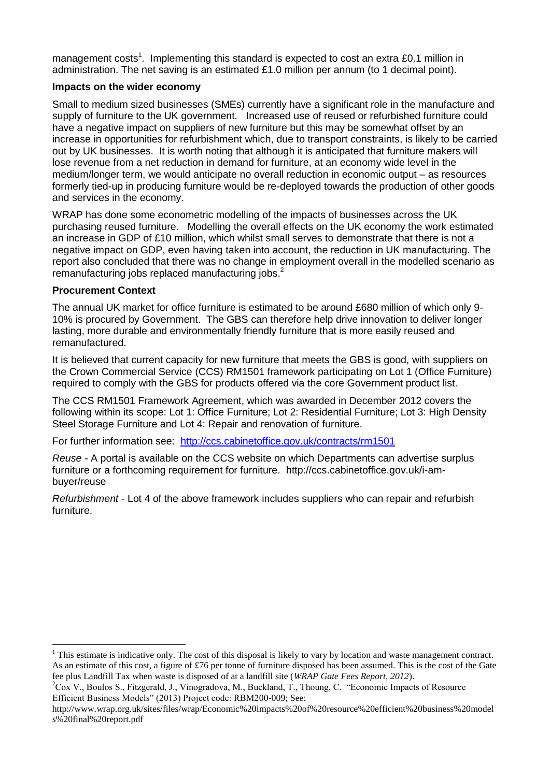management costs<sup>1</sup>. Implementing this standard is expected to cost an extra £0.1 million in administration. The net saving is an estimated £1.0 million per annum (to 1 decimal point).

## **Impacts on the wider economy**

Small to medium sized businesses (SMEs) currently have a significant role in the manufacture and supply of furniture to the UK government. Increased use of reused or refurbished furniture could have a negative impact on suppliers of new furniture but this may be somewhat offset by an increase in opportunities for refurbishment which, due to transport constraints, is likely to be carried out by UK businesses. It is worth noting that although it is anticipated that furniture makers will lose revenue from a net reduction in demand for furniture, at an economy wide level in the medium/longer term, we would anticipate no overall reduction in economic output – as resources formerly tied-up in producing furniture would be re-deployed towards the production of other goods and services in the economy.

WRAP has done some econometric modelling of the impacts of businesses across the UK purchasing reused furniture. Modelling the overall effects on the UK economy the work estimated an increase in GDP of £10 million, which whilst small serves to demonstrate that there is not a negative impact on GDP, even having taken into account, the reduction in UK manufacturing. The report also concluded that there was no change in employment overall in the modelled scenario as remanufacturing jobs replaced manufacturing jobs.<sup>2</sup>

## **Procurement Context**

**.** 

The annual UK market for office furniture is estimated to be around £680 million of which only 9- 10% is procured by Government. The GBS can therefore help drive innovation to deliver longer lasting, more durable and environmentally friendly furniture that is more easily reused and remanufactured.

It is believed that current capacity for new furniture that meets the GBS is good, with suppliers on the Crown Commercial Service (CCS) RM1501 framework participating on Lot 1 (Office Furniture) required to comply with the GBS for products offered via the core Government product list.

The CCS RM1501 Framework Agreement, which was awarded in December 2012 covers the following within its scope: Lot 1: Office Furniture; Lot 2: Residential Furniture; Lot 3: High Density Steel Storage Furniture and Lot 4: Repair and renovation of furniture.

For further information see: <http://ccs.cabinetoffice.gov.uk/contracts/rm1501>

*Reuse -* A portal is available on the CCS website on which Departments can advertise surplus furniture or a forthcoming requirement for furniture. http://ccs.cabinetoffice.gov.uk/i-ambuyer/reuse

*Refurbishment -* Lot 4 of the above framework includes suppliers who can repair and refurbish furniture.

 $<sup>1</sup>$  This estimate is indicative only. The cost of this disposal is likely to vary by location and waste management contract.</sup> As an estimate of this cost, a figure of £76 per tonne of furniture disposed has been assumed. This is the cost of the Gate fee plus Landfill Tax when waste is disposed of at a landfill site (*WRAP Gate Fees Report, 2012*).

<sup>&</sup>lt;sup>2</sup>Cox V., Boulos S., Fitzgerald, J., Vinogradova, M., Buckland, T., Thoung, C. "Economic Impacts of Resource Efficient Business Models" (2013) Project code: RBM200-009; See:

http://www.wrap.org.uk/sites/files/wrap/Economic%20impacts%20of%20resource%20efficient%20business%20model s%20final%20report.pdf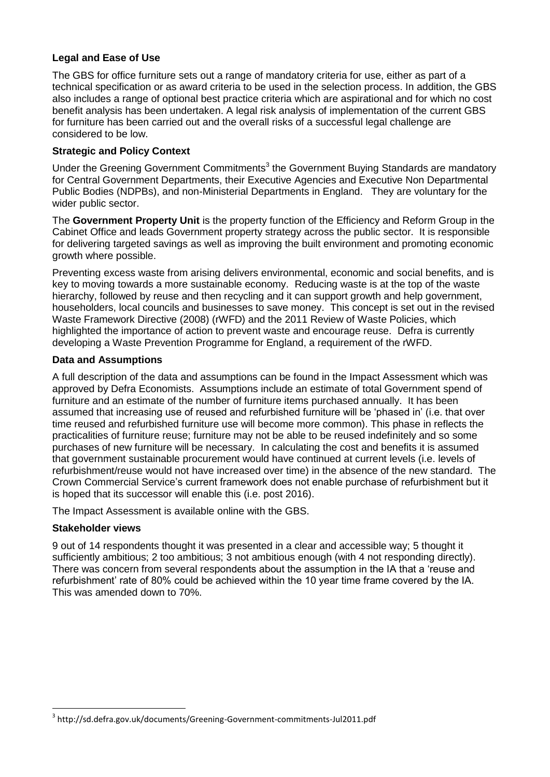## **Legal and Ease of Use**

The GBS for office furniture sets out a range of mandatory criteria for use, either as part of a technical specification or as award criteria to be used in the selection process. In addition, the GBS also includes a range of optional best practice criteria which are aspirational and for which no cost benefit analysis has been undertaken. A legal risk analysis of implementation of the current GBS for furniture has been carried out and the overall risks of a successful legal challenge are considered to be low.

## **Strategic and Policy Context**

Under the Greening Government Commitments<sup>3</sup> the Government Buying Standards are mandatory for Central Government Departments, their Executive Agencies and Executive Non Departmental Public Bodies (NDPBs), and non-Ministerial Departments in England. They are voluntary for the wider public sector.

The **Government Property Unit** is the property function of the Efficiency and Reform Group in the Cabinet Office and leads Government property strategy across the public sector. It is responsible for delivering targeted savings as well as improving the built environment and promoting economic growth where possible.

Preventing excess waste from arising delivers environmental, economic and social benefits, and is key to moving towards a more sustainable economy. Reducing waste is at the top of the waste hierarchy, followed by reuse and then recycling and it can support growth and help government, householders, local councils and businesses to save money. This concept is set out in the revised Waste Framework Directive (2008) (rWFD) and the 2011 Review of Waste Policies, which highlighted the importance of action to prevent waste and encourage reuse. Defra is currently developing a Waste Prevention Programme for England, a requirement of the rWFD.

## **Data and Assumptions**

A full description of the data and assumptions can be found in the Impact Assessment which was approved by Defra Economists. Assumptions include an estimate of total Government spend of furniture and an estimate of the number of furniture items purchased annually. It has been assumed that increasing use of reused and refurbished furniture will be 'phased in' (i.e. that over time reused and refurbished furniture use will become more common). This phase in reflects the practicalities of furniture reuse; furniture may not be able to be reused indefinitely and so some purchases of new furniture will be necessary. In calculating the cost and benefits it is assumed that government sustainable procurement would have continued at current levels (i.e. levels of refurbishment/reuse would not have increased over time) in the absence of the new standard. The Crown Commercial Service's current framework does not enable purchase of refurbishment but it is hoped that its successor will enable this (i.e. post 2016).

The Impact Assessment is available online with the GBS.

## **Stakeholder views**

**.** 

9 out of 14 respondents thought it was presented in a clear and accessible way; 5 thought it sufficiently ambitious; 2 too ambitious; 3 not ambitious enough (with 4 not responding directly). There was concern from several respondents about the assumption in the IA that a 'reuse and refurbishment' rate of 80% could be achieved within the 10 year time frame covered by the IA. This was amended down to 70%.

<sup>3</sup> http://sd.defra.gov.uk/documents/Greening-Government-commitments-Jul2011.pdf